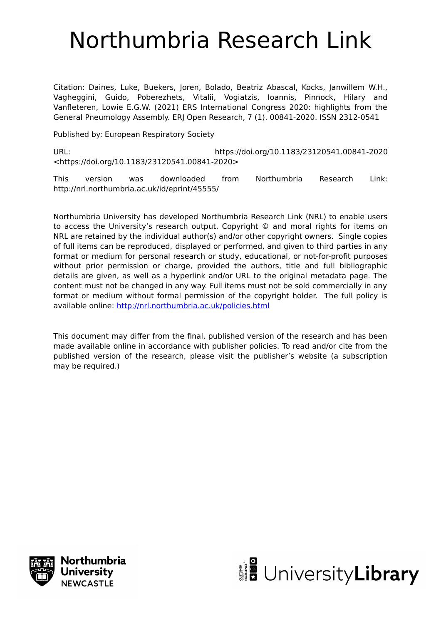# Northumbria Research Link

Citation: Daines, Luke, Buekers, Joren, Bolado, Beatriz Abascal, Kocks, Janwillem W.H., Vagheggini, Guido, Poberezhets, Vitalii, Vogiatzis, Ioannis, Pinnock, Hilary and Vanfleteren, Lowie E.G.W. (2021) ERS International Congress 2020: highlights from the General Pneumology Assembly. ERJ Open Research, 7 (1). 00841-2020. ISSN 2312-0541

Published by: European Respiratory Society

URL: https://doi.org/10.1183/23120541.00841-2020 <https://doi.org/10.1183/23120541.00841-2020>

This version was downloaded from Northumbria Research Link: http://nrl.northumbria.ac.uk/id/eprint/45555/

Northumbria University has developed Northumbria Research Link (NRL) to enable users to access the University's research output. Copyright © and moral rights for items on NRL are retained by the individual author(s) and/or other copyright owners. Single copies of full items can be reproduced, displayed or performed, and given to third parties in any format or medium for personal research or study, educational, or not-for-profit purposes without prior permission or charge, provided the authors, title and full bibliographic details are given, as well as a hyperlink and/or URL to the original metadata page. The content must not be changed in any way. Full items must not be sold commercially in any format or medium without formal permission of the copyright holder. The full policy is available online:<http://nrl.northumbria.ac.uk/policies.html>

This document may differ from the final, published version of the research and has been made available online in accordance with publisher policies. To read and/or cite from the published version of the research, please visit the publisher's website (a subscription may be required.)



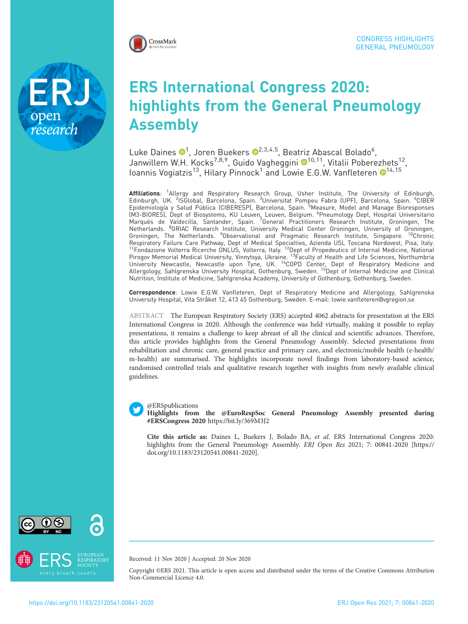

research

# ERS International Congress 2020: highlights from the General Pneumology Assembly

Luke Daines ®<sup>1</sup>, Joren Buekers ®<sup>2,3,4,5</sup>, Beatriz Abascal Bolado<sup>6</sup>, Janwillem W.H. Kocks<sup>7,8,9</sup>, Guido Vagheggini ®<sup>10,11</sup>, Vitalii Poberezhets<sup>12</sup>, Ioannis Vogiatzis<sup>[1](https://orcid.org/0000-0002-4387-4096)3</sup>, Hilary Pinnock<sup>1</sup> and Lowie E.G.W. Vanfleteren  $\bullet$ <sup>14,15</sup>

Affiliations: <sup>1</sup>Allergy and Respiratory Research Group, Usher Institute, The University of Edinburgh, Edinburgh, UK. <sup>2</sup>ISGlobal, Barcelona, Spain. <sup>3</sup>Universitat Pompeu Fabra (UPF), Barcelona, Spain. <sup>4</sup>CIBER<br>Epidemiología y Salud Pública (CIBERESP), Barcelona, Spain. <sup>5</sup>Measure, Model and Manage Bioresponses (M3-BIORES), Dept of Biosystems, KU Leuven, Leuven, Belgium. <sup>6</sup>Pneumology Dept, Hospital Universitario<br>Marqués de Valdecilla, Santander, Spain. <sup>7</sup>General Practitioners Research Institute, Groningen, The Netherlands. <sup>8</sup>GRIAC Research Institute, University Medical Center Groningen, University of Groningen,<br>Groningen, The Netherlands. <sup>9</sup>Observational and Pragmatic Research Institute, Singapore. <sup>10</sup>Chronic Respiratory Failure Care Pathway, Dept of Medical Specialties, Azienda USL Toscana Nordovest, Pisa, Italy. <sup>11</sup>Fondazione Volterra Ricerche ONLUS, Volterra, Italy. <sup>12</sup>Dept of Propedeutics of Internal Medicine, National Pirogov Memorial Medical University, Vinnytsya, Ukraine. <sup>13</sup>Faculty of Health and Life Sciences, Northumbria University Newcastle, Newcastle upon Tyne, UK. 14COPD Center, Dept of Respiratory Medicine and Allergology, Sahlgrenska University Hospital, Gothenburg, Sweden. 15Dept of Internal Medicine and Clinical Nutrition, Institute of Medicine, Sahlgrenska Academy, University of Gothenburg, Gothenburg, Sweden.

Correspondence: Lowie E.G.W. Vanfleteren, Dept of Respiratory Medicine and Allergology, Sahlgrenska University Hospital, Vita Stråket 12, 413 45 Gothenburg, Sweden. E-mail: [lowie.vanfleteren@vgregion.se](mailto:lowie.vanfleteren@vgregion.se)

ABSTRACT The European Respiratory Society (ERS) accepted 4062 abstracts for presentation at the ERS International Congress in 2020. Although the conference was held virtually, making it possible to replay presentations, it remains a challenge to keep abreast of all the clinical and scientific advances. Therefore, this article provides highlights from the General Pneumology Assembly. Selected presentations from rehabilitation and chronic care, general practice and primary care, and electronic/mobile health (e-health/ m-health) are summarised. The highlights incorporate novel findings from laboratory-based science, randomised controlled trials and qualitative research together with insights from newly available clinical guidelines.



Highlights from the @EuroRespSoc General Pneumology Assembly presented during #ERSCongress 2020 <https://bit.ly/369M3J2>

Cite this article as: Daines L, Buekers J, Bolado BA, et al. ERS International Congress 2020: highlights from the General Pneumology Assembly. ERJ Open Res 2021; 7: 00841-2020 [\[https://](https://doi.org/10.1183/23120541.00841-2020) [doi.org/10.1183/23120541.00841-2020\].](https://doi.org/10.1183/23120541.00841-2020)



Received: 11 Nov 2020 | Accepted: 20 Nov 2020

Copyright ©ERS 2021. This article is open access and distributed under the terms of the Creative Commons Attribution Non-Commercial Licence 4.0.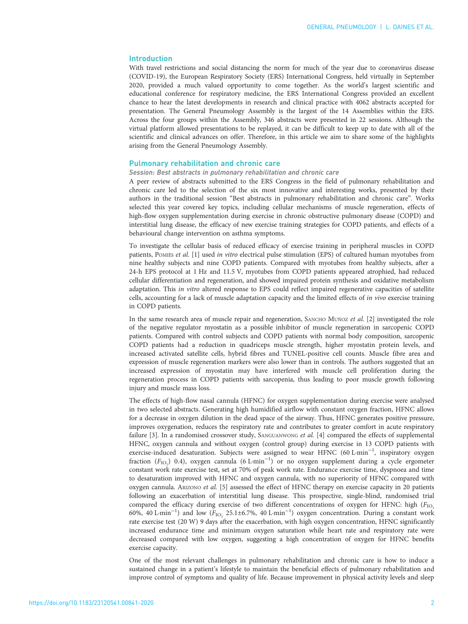# Introduction

With travel restrictions and social distancing the norm for much of the year due to coronavirus disease (COVID-19), the European Respiratory Society (ERS) International Congress, held virtually in September 2020, provided a much valued opportunity to come together. As the world's largest scientific and educational conference for respiratory medicine, the ERS International Congress provided an excellent chance to hear the latest developments in research and clinical practice with 4062 abstracts accepted for presentation. The General Pneumology Assembly is the largest of the 14 Assemblies within the ERS. Across the four groups within the Assembly, 346 abstracts were presented in 22 sessions. Although the virtual platform allowed presentations to be replayed, it can be difficult to keep up to date with all of the scientific and clinical advances on offer. Therefore, in this article we aim to share some of the highlights arising from the General Pneumology Assembly.

#### Pulmonary rehabilitation and chronic care

#### Session: Best abstracts in pulmonary rehabilitation and chronic care

A peer review of abstracts submitted to the ERS Congress in the field of pulmonary rehabilitation and chronic care led to the selection of the six most innovative and interesting works, presented by their authors in the traditional session "Best abstracts in pulmonary rehabilitation and chronic care". Works selected this year covered key topics, including cellular mechanisms of muscle regeneration, effects of high-flow oxygen supplementation during exercise in chronic obstructive pulmonary disease (COPD) and interstitial lung disease, the efficacy of new exercise training strategies for COPD patients, and effects of a behavioural change intervention on asthma symptoms.

To investigate the cellular basis of reduced efficacy of exercise training in peripheral muscles in COPD patients, POMIÈS et al. [\[1](#page-5-0)] used in vitro electrical pulse stimulation (EPS) of cultured human myotubes from nine healthy subjects and nine COPD patients. Compared with myotubes from healthy subjects, after a 24-h EPS protocol at 1 Hz and 11.5 V, myotubes from COPD patients appeared atrophied, had reduced cellular differentiation and regeneration, and showed impaired protein synthesis and oxidative metabolism adaptation. This in vitro altered response to EPS could reflect impaired regenerative capacities of satellite cells, accounting for a lack of muscle adaptation capacity and the limited effects of in vivo exercise training in COPD patients.

In the same research area of muscle repair and regeneration, SANCHO MUÑOZ et al. [[2](#page-5-0)] investigated the role of the negative regulator myostatin as a possible inhibitor of muscle regeneration in sarcopenic COPD patients. Compared with control subjects and COPD patients with normal body composition, sarcopenic COPD patients had a reduction in quadriceps muscle strength, higher myostatin protein levels, and increased activated satellite cells, hybrid fibres and TUNEL-positive cell counts. Muscle fibre area and expression of muscle regeneration markers were also lower than in controls. The authors suggested that an increased expression of myostatin may have interfered with muscle cell proliferation during the regeneration process in COPD patients with sarcopenia, thus leading to poor muscle growth following injury and muscle mass loss.

The effects of high-flow nasal cannula (HFNC) for oxygen supplementation during exercise were analysed in two selected abstracts. Generating high humidified airflow with constant oxygen fraction, HFNC allows for a decrease in oxygen dilution in the dead space of the airway. Thus, HFNC generates positive pressure, improves oxygenation, reduces the respiratory rate and contributes to greater comfort in acute respiratory failure [\[3](#page-5-0)]. In a randomised crossover study, SANGUANWONG et al. [\[4](#page-5-0)] compared the effects of supplemental HFNC, oxygen cannula and without oxygen (control group) during exercise in 13 COPD patients with exercise-induced desaturation. Subjects were assigned to wear HFNC (60 L·min<sup>-1</sup>, inspiratory oxygen fraction ( $F_{\text{IO}_2}$ ) 0.4), oxygen cannula (6 L·min<sup>-1</sup>) or no oxygen supplement during a cycle ergometer constant work rate exercise test, set at 70% of peak work rate. Endurance exercise time, dyspnoea and time to desaturation improved with HFNC and oxygen cannula, with no superiority of HFNC compared with oxygen cannula. ARIZONO et al. [[5\]](#page-5-0) assessed the effect of HFNC therapy on exercise capacity in 20 patients following an exacerbation of interstitial lung disease. This prospective, single-blind, randomised trial compared the efficacy during exercise of two different concentrations of oxygen for HFNC: high (F<sub>IO2</sub>) 60%, 40 L·min<sup>-1</sup>) and low ( $F_{\text{IO}_2}$  25.1±6.7%, 40 L·min<sup>-1</sup>) oxygen concentration. During a constant work rate exercise test (20 W) 9 days after the exacerbation, with high oxygen concentration, HFNC significantly increased endurance time and minimum oxygen saturation while heart rate and respiratory rate were decreased compared with low oxygen, suggesting a high concentration of oxygen for HFNC benefits exercise capacity.

One of the most relevant challenges in pulmonary rehabilitation and chronic care is how to induce a sustained change in a patient's lifestyle to maintain the beneficial effects of pulmonary rehabilitation and improve control of symptoms and quality of life. Because improvement in physical activity levels and sleep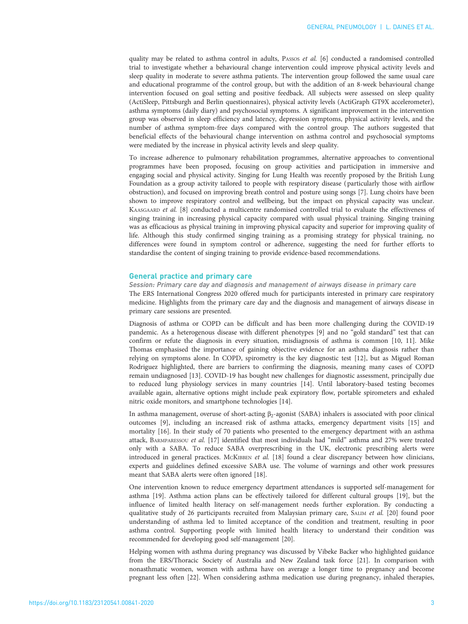quality may be related to asthma control in adults, PASSOS et al. [[6\]](#page-5-0) conducted a randomised controlled trial to investigate whether a behavioural change intervention could improve physical activity levels and sleep quality in moderate to severe asthma patients. The intervention group followed the same usual care and educational programme of the control group, but with the addition of an 8-week behavioural change intervention focused on goal setting and positive feedback. All subjects were assessed on sleep quality (ActiSleep, Pittsburgh and Berlin questionnaires), physical activity levels (ActiGraph GT9X accelerometer), asthma symptoms (daily diary) and psychosocial symptoms. A significant improvement in the intervention group was observed in sleep efficiency and latency, depression symptoms, physical activity levels, and the number of asthma symptom-free days compared with the control group. The authors suggested that beneficial effects of the behavioural change intervention on asthma control and psychosocial symptoms were mediated by the increase in physical activity levels and sleep quality.

To increase adherence to pulmonary rehabilitation programmes, alternative approaches to conventional programmes have been proposed, focusing on group activities and participation in immersive and engaging social and physical activity. Singing for Lung Health was recently proposed by the British Lung Foundation as a group activity tailored to people with respiratory disease ( particularly those with airflow obstruction), and focused on improving breath control and posture using songs [[7](#page-5-0)]. Lung choirs have been shown to improve respiratory control and wellbeing, but the impact on physical capacity was unclear. KAASGAARD et al. [\[8](#page-6-0)] conducted a multicentre randomised controlled trial to evaluate the effectiveness of singing training in increasing physical capacity compared with usual physical training. Singing training was as efficacious as physical training in improving physical capacity and superior for improving quality of life. Although this study confirmed singing training as a promising strategy for physical training, no differences were found in symptom control or adherence, suggesting the need for further efforts to standardise the content of singing training to provide evidence-based recommendations.

## General practice and primary care

Session: Primary care day and diagnosis and management of airways disease in primary care The ERS International Congress 2020 offered much for participants interested in primary care respiratory medicine. Highlights from the primary care day and the diagnosis and management of airways disease in primary care sessions are presented.

Diagnosis of asthma or COPD can be difficult and has been more challenging during the COVID-19 pandemic. As a heterogenous disease with different phenotypes [[9](#page-6-0)] and no "gold standard" test that can confirm or refute the diagnosis in every situation, misdiagnosis of asthma is common [[10](#page-6-0), [11](#page-6-0)]. Mike Thomas emphasised the importance of gaining objective evidence for an asthma diagnosis rather than relying on symptoms alone. In COPD, spirometry is the key diagnostic test [\[12\]](#page-6-0), but as Miguel Roman Rodriguez highlighted, there are barriers to confirming the diagnosis, meaning many cases of COPD remain undiagnosed [[13\]](#page-6-0). COVID-19 has bought new challenges for diagnostic assessment, principally due to reduced lung physiology services in many countries [[14](#page-6-0)]. Until laboratory-based testing becomes available again, alternative options might include peak expiratory flow, portable spirometers and exhaled nitric oxide monitors, and smartphone technologies [\[14](#page-6-0)].

In asthma management, overuse of short-acting β2-agonist (SABA) inhalers is associated with poor clinical outcomes [\[9](#page-6-0)], including an increased risk of asthma attacks, emergency department visits [\[15](#page-6-0)] and mortality [[16](#page-6-0)]. In their study of 70 patients who presented to the emergency department with an asthma attack, BARMPARESSOU et al. [[17](#page-6-0)] identified that most individuals had "mild" asthma and 27% were treated only with a SABA. To reduce SABA overprescribing in the UK, electronic prescribing alerts were introduced in general practices. McKIBBEN et al. [[18\]](#page-6-0) found a clear discrepancy between how clinicians, experts and guidelines defined excessive SABA use. The volume of warnings and other work pressures meant that SABA alerts were often ignored [\[18\]](#page-6-0).

One intervention known to reduce emergency department attendances is supported self-management for asthma [\[19\]](#page-6-0). Asthma action plans can be effectively tailored for different cultural groups [[19](#page-6-0)], but the influence of limited health literacy on self-management needs further exploration. By conducting a qualitative study of 26 participants recruited from Malaysian primary care, SALIM et al. [\[20\]](#page-6-0) found poor understanding of asthma led to limited acceptance of the condition and treatment, resulting in poor asthma control. Supporting people with limited health literacy to understand their condition was recommended for developing good self-management [[20](#page-6-0)].

Helping women with asthma during pregnancy was discussed by Vibeke Backer who highlighted guidance from the ERS/Thoracic Society of Australia and New Zealand task force [\[21\]](#page-6-0). In comparison with nonasthmatic women, women with asthma have on average a longer time to pregnancy and become pregnant less often [\[22\]](#page-6-0). When considering asthma medication use during pregnancy, inhaled therapies,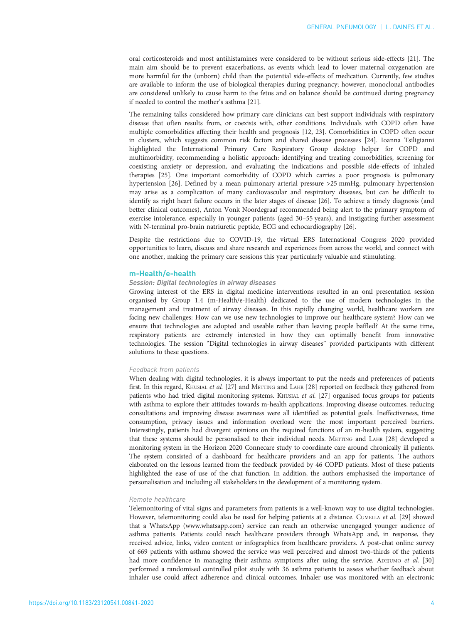oral corticosteroids and most antihistamines were considered to be without serious side-effects [[21](#page-6-0)]. The main aim should be to prevent exacerbations, as events which lead to lower maternal oxygenation are more harmful for the (unborn) child than the potential side-effects of medication. Currently, few studies are available to inform the use of biological therapies during pregnancy; however, monoclonal antibodies are considered unlikely to cause harm to the fetus and on balance should be continued during pregnancy if needed to control the mother's asthma [\[21\]](#page-6-0).

The remaining talks considered how primary care clinicians can best support individuals with respiratory disease that often results from, or coexists with, other conditions. Individuals with COPD often have multiple comorbidities affecting their health and prognosis [[12](#page-6-0), [23](#page-6-0)]. Comorbidities in COPD often occur in clusters, which suggests common risk factors and shared disease processes [\[24\]](#page-6-0). Ioanna Tsiligianni highlighted the International Primary Care Respiratory Group desktop helper for COPD and multimorbidity, recommending a holistic approach: identifying and treating comorbidities, screening for coexisting anxiety or depression, and evaluating the indications and possible side-effects of inhaled therapies [[25\]](#page-6-0). One important comorbidity of COPD which carries a poor prognosis is pulmonary hypertension [\[26\]](#page-6-0). Defined by a mean pulmonary arterial pressure >25 mmHg, pulmonary hypertension may arise as a complication of many cardiovascular and respiratory diseases, but can be difficult to identify as right heart failure occurs in the later stages of disease [\[26\]](#page-6-0). To achieve a timely diagnosis (and better clinical outcomes), Anton Vonk Noordegraaf recommended being alert to the primary symptom of exercise intolerance, especially in younger patients (aged 30–55 years), and instigating further assessment with N-terminal pro-brain natriuretic peptide, ECG and echocardiography [\[26\]](#page-6-0).

Despite the restrictions due to COVID-19, the virtual ERS International Congress 2020 provided opportunities to learn, discuss and share research and experiences from across the world, and connect with one another, making the primary care sessions this year particularly valuable and stimulating.

# m-Health/e-health

## Session: Digital technologies in airway diseases

Growing interest of the ERS in digital medicine interventions resulted in an oral presentation session organised by Group 1.4 (m-Health/e-Health) dedicated to the use of modern technologies in the management and treatment of airway diseases. In this rapidly changing world, healthcare workers are facing new challenges: How can we use new technologies to improve our healthcare system? How can we ensure that technologies are adopted and useable rather than leaving people baffled? At the same time, respiratory patients are extremely interested in how they can optimally benefit from innovative technologies. The session "Digital technologies in airway diseases" provided participants with different solutions to these questions.

#### Feedback from patients

When dealing with digital technologies, it is always important to put the needs and preferences of patients first. In this regard, KHUSIAL et al. [[27](#page-6-0)] and METTING and LAHR [\[28\]](#page-6-0) reported on feedback they gathered from patients who had tried digital monitoring systems. KHUSIAL et al. [[27](#page-6-0)] organised focus groups for patients with asthma to explore their attitudes towards m-health applications. Improving disease outcomes, reducing consultations and improving disease awareness were all identified as potential goals. Ineffectiveness, time consumption, privacy issues and information overload were the most important perceived barriers. Interestingly, patients had divergent opinions on the required functions of an m-health system, suggesting that these systems should be personalised to their individual needs. METTING and LAHR [\[28\]](#page-6-0) developed a monitoring system in the Horizon 2020 Connecare study to coordinate care around chronically ill patients. The system consisted of a dashboard for healthcare providers and an app for patients. The authors elaborated on the lessons learned from the feedback provided by 46 COPD patients. Most of these patients highlighted the ease of use of the chat function. In addition, the authors emphasised the importance of personalisation and including all stakeholders in the development of a monitoring system.

## Remote healthcare

Telemonitoring of vital signs and parameters from patients is a well-known way to use digital technologies. However, telemonitoring could also be used for helping patients at a distance. CUMELLA et al. [\[29\]](#page-6-0) showed that a WhatsApp [\(www.whatsapp.com\)](https://www.whatsapp.com) service can reach an otherwise unengaged younger audience of asthma patients. Patients could reach healthcare providers through WhatsApp and, in response, they received advice, links, video content or infographics from healthcare providers. A post-chat online survey of 669 patients with asthma showed the service was well perceived and almost two-thirds of the patients had more confidence in managing their asthma symptoms after using the service. ADEJUMO et al. [\[30\]](#page-6-0) performed a randomised controlled pilot study with 36 asthma patients to assess whether feedback about inhaler use could affect adherence and clinical outcomes. Inhaler use was monitored with an electronic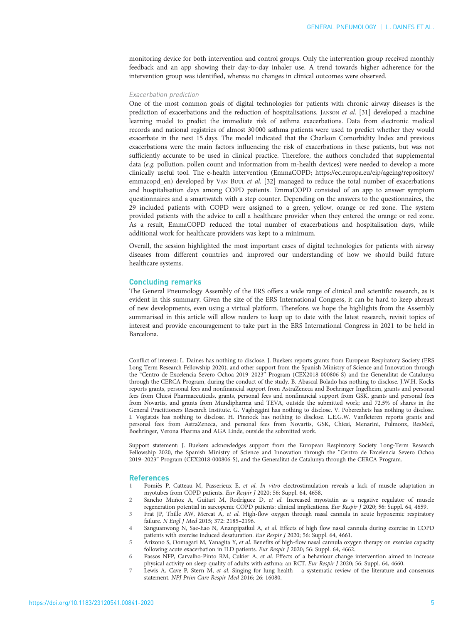<span id="page-5-0"></span>monitoring device for both intervention and control groups. Only the intervention group received monthly feedback and an app showing their day-to-day inhaler use. A trend towards higher adherence for the intervention group was identified, whereas no changes in clinical outcomes were observed.

#### Exacerbation prediction

One of the most common goals of digital technologies for patients with chronic airway diseases is the prediction of exacerbations and the reduction of hospitalisations. JANSON et al. [\[31\]](#page-6-0) developed a machine learning model to predict the immediate risk of asthma exacerbations. Data from electronic medical records and national registries of almost 30 000 asthma patients were used to predict whether they would exacerbate in the next 15 days. The model indicated that the Charlson Comorbidity Index and previous exacerbations were the main factors influencing the risk of exacerbations in these patients, but was not sufficiently accurate to be used in clinical practice. Therefore, the authors concluded that supplemental data (e.g. pollution, pollen count and information from m-health devices) were needed to develop a more clinically useful tool. The e-health intervention (EmmaCOPD; [https://ec.europa.eu/eip/ageing/repository/](https://ec.europa.eu/eip/ageing/repository/emmacopd_en) [emmacopd\\_en](https://ec.europa.eu/eip/ageing/repository/emmacopd_en)) developed by VAN BUUL et al. [\[32\]](#page-6-0) managed to reduce the total number of exacerbations and hospitalisation days among COPD patients. EmmaCOPD consisted of an app to answer symptom questionnaires and a smartwatch with a step counter. Depending on the answers to the questionnaires, the 29 included patients with COPD were assigned to a green, yellow, orange or red zone. The system provided patients with the advice to call a healthcare provider when they entered the orange or red zone. As a result, EmmaCOPD reduced the total number of exacerbations and hospitalisation days, while additional work for healthcare providers was kept to a minimum.

Overall, the session highlighted the most important cases of digital technologies for patients with airway diseases from different countries and improved our understanding of how we should build future healthcare systems.

## Concluding remarks

The General Pneumology Assembly of the ERS offers a wide range of clinical and scientific research, as is evident in this summary. Given the size of the ERS International Congress, it can be hard to keep abreast of new developments, even using a virtual platform. Therefore, we hope the highlights from the Assembly summarised in this article will allow readers to keep up to date with the latest research, revisit topics of interest and provide encouragement to take part in the ERS International Congress in 2021 to be held in Barcelona.

Conflict of interest: L. Daines has nothing to disclose. J. Buekers reports grants from European Respiratory Society (ERS Long-Term Research Fellowship 2020), and other support from the Spanish Ministry of Science and Innovation through the "Centro de Excelencia Severo Ochoa 2019–2023" Program (CEX2018-000806-S) and the Generalitat de Catalunya through the CERCA Program, during the conduct of the study. B. Abascal Bolado has nothing to disclose. J.W.H. Kocks reports grants, personal fees and nonfinancial support from AstraZeneca and Boehringer Ingelheim, grants and personal fees from Chiesi Pharmaceuticals, grants, personal fees and nonfinancial support from GSK, grants and personal fees from Novartis, and grants from Mundipharma and TEVA, outside the submitted work; and 72.5% of shares in the General Practitioners Research Institute. G. Vagheggini has nothing to disclose. V. Poberezhets has nothing to disclose. I. Vogiatzis has nothing to disclose. H. Pinnock has nothing to disclose. L.E.G.W. Vanfleteren reports grants and personal fees from AstraZeneca, and personal fees from Novartis, GSK, Chiesi, Menarini, Pulmonx, ResMed, Boehringer, Verona Pharma and AGA Linde, outside the submitted work.

Support statement: J. Buekers acknowledges support from the European Respiratory Society Long-Term Research Fellowship 2020, the Spanish Ministry of Science and Innovation through the "Centro de Excelencia Severo Ochoa 2019–2023" Program (CEX2018-000806-S), and the Generalitat de Catalunya through the CERCA Program.

#### References

- 1 Pomiès P, Catteau M, Passerieux E, et al. In vitro electrostimulation reveals a lack of muscle adaptation in myotubes from COPD patients. Eur Respir J 2020; 56: Suppl. 64, 4658.
- 2 Sancho Muñoz A, Guitart M, Rodríguez D, et al. Increased myostatin as a negative regulator of muscle regeneration potential in sarcopenic COPD patients: clinical implications. Eur Respir J 2020; 56: Suppl. 64, 4659.
- Frat JP, Thille AW, Mercat A, et al. High-flow oxygen through nasal cannula in acute hypoxemic respiratory failure. N Engl J Med 2015; 372: 2185–2196.
- Sanguanwong N, Sae-Eao N, Ananpipatkul A, et al. Effects of high flow nasal cannula during exercise in COPD patients with exercise induced desaturation. Eur Respir J 2020; 56: Suppl. 64, 4661.
- 5 Arizono S, Oomagari M, Yanagita Y, et al. Benefits of high-flow nasal cannula oxygen therapy on exercise capacity following acute exacerbation in ILD patients. Eur Respir J 2020; 56: Suppl. 64, 4662.
- 6 Passos NFP, Carvalho-Pinto RM, Cukier A, et al. Effects of a behaviour change intervention aimed to increase physical activity on sleep quality of adults with asthma: an RCT. Eur Respir J 2020; 56: Suppl. 64, 4660.
- Lewis A, Cave P, Stern M, et al. Singing for lung health a systematic review of the literature and consensus statement. NPJ Prim Care Respir Med 2016; 26: 16080.